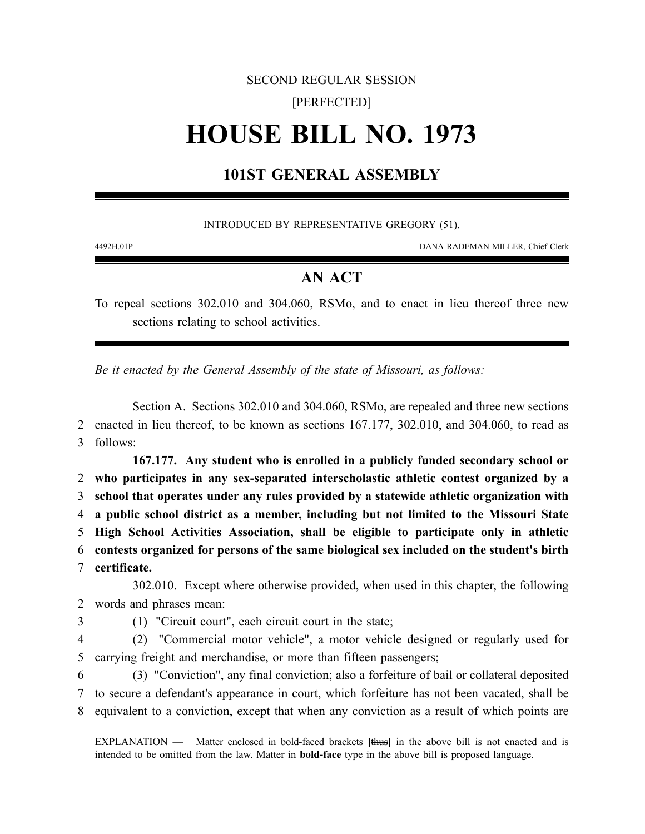# SECOND REGULAR SESSION [PERFECTED] **HOUSE BILL NO. 1973**

## **101ST GENERAL ASSEMBLY**

INTRODUCED BY REPRESENTATIVE GREGORY (51).

4492H.01P DANA RADEMAN MILLER, Chief Clerk

### **AN ACT**

To repeal sections 302.010 and 304.060, RSMo, and to enact in lieu thereof three new sections relating to school activities.

*Be it enacted by the General Assembly of the state of Missouri, as follows:*

Section A. Sections 302.010 and 304.060, RSMo, are repealed and three new sections 2 enacted in lieu thereof, to be known as sections 167.177, 302.010, and 304.060, to read as 3 follows:

**167.177. Any student who is enrolled in a publicly funded secondary school or who participates in any sex-separated interscholastic athletic contest organized by a school that operates under any rules provided by a statewide athletic organization with a public school district as a member, including but not limited to the Missouri State High School Activities Association, shall be eligible to participate only in athletic contests organized for persons of the same biological sex included on the student's birth certificate.**

302.010. Except where otherwise provided, when used in this chapter, the following 2 words and phrases mean:

3 (1) "Circuit court", each circuit court in the state;

4 (2) "Commercial motor vehicle", a motor vehicle designed or regularly used for 5 carrying freight and merchandise, or more than fifteen passengers;

6 (3) "Conviction", any final conviction; also a forfeiture of bail or collateral deposited 7 to secure a defendant's appearance in court, which forfeiture has not been vacated, shall be 8 equivalent to a conviction, except that when any conviction as a result of which points are

EXPLANATION — Matter enclosed in bold-faced brackets **[**thus**]** in the above bill is not enacted and is intended to be omitted from the law. Matter in **bold-face** type in the above bill is proposed language.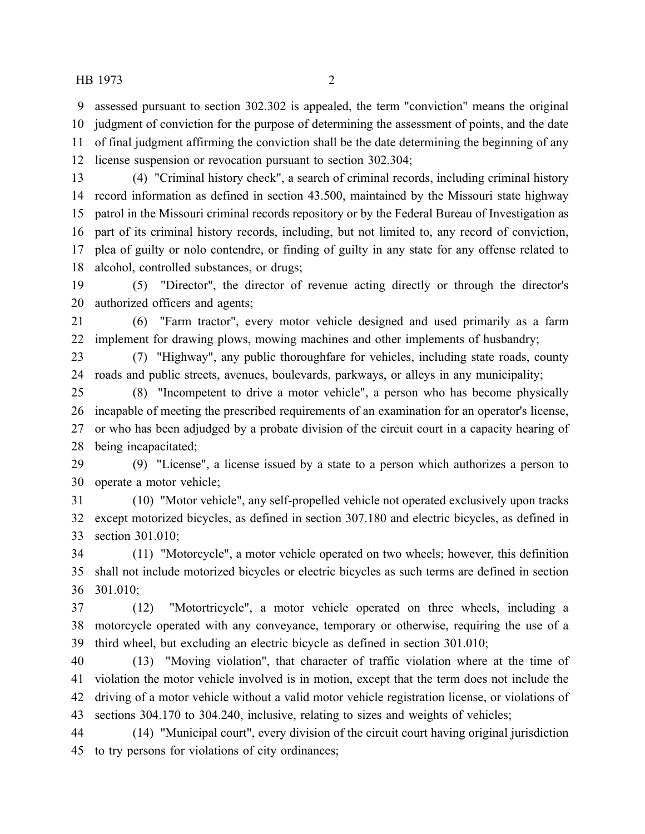assessed pursuant to section 302.302 is appealed, the term "conviction" means the original judgment of conviction for the purpose of determining the assessment of points, and the date of final judgment affirming the conviction shall be the date determining the beginning of any license suspension or revocation pursuant to section 302.304;

 (4) "Criminal history check", a search of criminal records, including criminal history record information as defined in section 43.500, maintained by the Missouri state highway patrol in the Missouri criminal records repository or by the Federal Bureau of Investigation as part of its criminal history records, including, but not limited to, any record of conviction, plea of guilty or nolo contendre, or finding of guilty in any state for any offense related to alcohol, controlled substances, or drugs;

 (5) "Director", the director of revenue acting directly or through the director's authorized officers and agents;

 (6) "Farm tractor", every motor vehicle designed and used primarily as a farm implement for drawing plows, mowing machines and other implements of husbandry;

 (7) "Highway", any public thoroughfare for vehicles, including state roads, county roads and public streets, avenues, boulevards, parkways, or alleys in any municipality;

 (8) "Incompetent to drive a motor vehicle", a person who has become physically incapable of meeting the prescribed requirements of an examination for an operator's license, or who has been adjudged by a probate division of the circuit court in a capacity hearing of being incapacitated;

 (9) "License", a license issued by a state to a person which authorizes a person to operate a motor vehicle;

 (10) "Motor vehicle", any self-propelled vehicle not operated exclusively upon tracks except motorized bicycles, as defined in section 307.180 and electric bicycles, as defined in section 301.010;

 (11) "Motorcycle", a motor vehicle operated on two wheels; however, this definition shall not include motorized bicycles or electric bicycles as such terms are defined in section 301.010;

 (12) "Motortricycle", a motor vehicle operated on three wheels, including a motorcycle operated with any conveyance, temporary or otherwise, requiring the use of a third wheel, but excluding an electric bicycle as defined in section 301.010;

 (13) "Moving violation", that character of traffic violation where at the time of violation the motor vehicle involved is in motion, except that the term does not include the driving of a motor vehicle without a valid motor vehicle registration license, or violations of sections 304.170 to 304.240, inclusive, relating to sizes and weights of vehicles;

 (14) "Municipal court", every division of the circuit court having original jurisdiction to try persons for violations of city ordinances;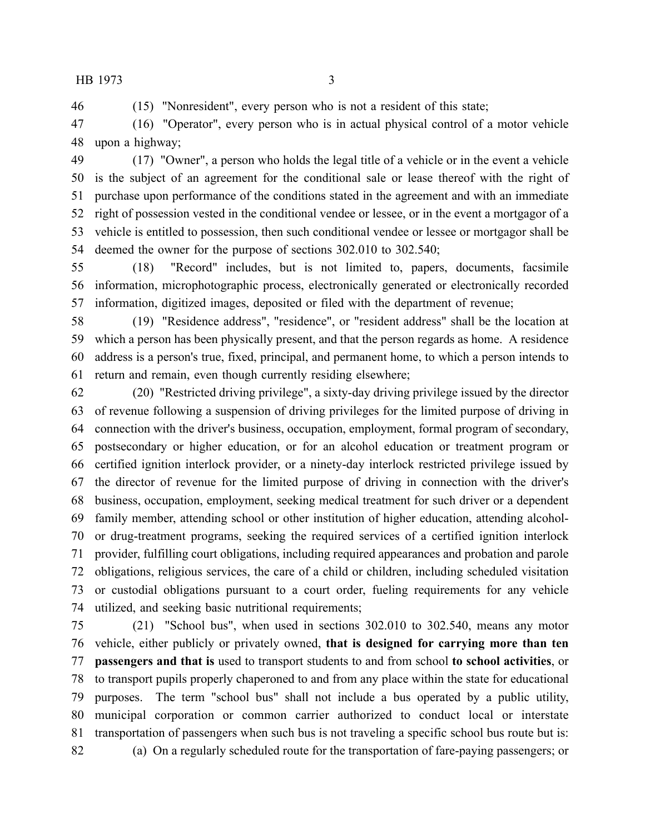(15) "Nonresident", every person who is not a resident of this state;

 (16) "Operator", every person who is in actual physical control of a motor vehicle upon a highway;

 (17) "Owner", a person who holds the legal title of a vehicle or in the event a vehicle is the subject of an agreement for the conditional sale or lease thereof with the right of purchase upon performance of the conditions stated in the agreement and with an immediate right of possession vested in the conditional vendee or lessee, or in the event a mortgagor of a vehicle is entitled to possession, then such conditional vendee or lessee or mortgagor shall be deemed the owner for the purpose of sections 302.010 to 302.540;

 (18) "Record" includes, but is not limited to, papers, documents, facsimile information, microphotographic process, electronically generated or electronically recorded information, digitized images, deposited or filed with the department of revenue;

 (19) "Residence address", "residence", or "resident address" shall be the location at which a person has been physically present, and that the person regards as home. A residence address is a person's true, fixed, principal, and permanent home, to which a person intends to return and remain, even though currently residing elsewhere;

 (20) "Restricted driving privilege", a sixty-day driving privilege issued by the director of revenue following a suspension of driving privileges for the limited purpose of driving in connection with the driver's business, occupation, employment, formal program of secondary, postsecondary or higher education, or for an alcohol education or treatment program or certified ignition interlock provider, or a ninety-day interlock restricted privilege issued by the director of revenue for the limited purpose of driving in connection with the driver's business, occupation, employment, seeking medical treatment for such driver or a dependent family member, attending school or other institution of higher education, attending alcohol- or drug-treatment programs, seeking the required services of a certified ignition interlock provider, fulfilling court obligations, including required appearances and probation and parole obligations, religious services, the care of a child or children, including scheduled visitation or custodial obligations pursuant to a court order, fueling requirements for any vehicle utilized, and seeking basic nutritional requirements;

 (21) "School bus", when used in sections 302.010 to 302.540, means any motor vehicle, either publicly or privately owned, **that is designed for carrying more than ten passengers and that is** used to transport students to and from school **to school activities**, or to transport pupils properly chaperoned to and from any place within the state for educational purposes. The term "school bus" shall not include a bus operated by a public utility, municipal corporation or common carrier authorized to conduct local or interstate transportation of passengers when such bus is not traveling a specific school bus route but is: (a) On a regularly scheduled route for the transportation of fare-paying passengers; or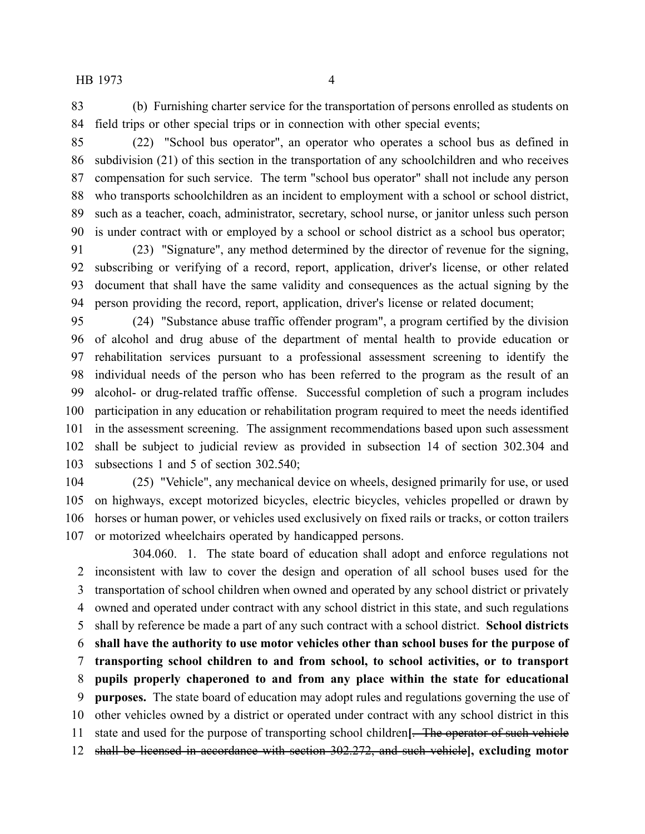(b) Furnishing charter service for the transportation of persons enrolled as students on field trips or other special trips or in connection with other special events;

 (22) "School bus operator", an operator who operates a school bus as defined in subdivision (21) of this section in the transportation of any schoolchildren and who receives compensation for such service. The term "school bus operator" shall not include any person who transports schoolchildren as an incident to employment with a school or school district, such as a teacher, coach, administrator, secretary, school nurse, or janitor unless such person is under contract with or employed by a school or school district as a school bus operator;

 (23) "Signature", any method determined by the director of revenue for the signing, subscribing or verifying of a record, report, application, driver's license, or other related document that shall have the same validity and consequences as the actual signing by the person providing the record, report, application, driver's license or related document;

 (24) "Substance abuse traffic offender program", a program certified by the division of alcohol and drug abuse of the department of mental health to provide education or rehabilitation services pursuant to a professional assessment screening to identify the individual needs of the person who has been referred to the program as the result of an alcohol- or drug-related traffic offense. Successful completion of such a program includes participation in any education or rehabilitation program required to meet the needs identified in the assessment screening. The assignment recommendations based upon such assessment shall be subject to judicial review as provided in subsection 14 of section 302.304 and subsections 1 and 5 of section 302.540;

 (25) "Vehicle", any mechanical device on wheels, designed primarily for use, or used on highways, except motorized bicycles, electric bicycles, vehicles propelled or drawn by horses or human power, or vehicles used exclusively on fixed rails or tracks, or cotton trailers or motorized wheelchairs operated by handicapped persons.

304.060. 1. The state board of education shall adopt and enforce regulations not inconsistent with law to cover the design and operation of all school buses used for the transportation of school children when owned and operated by any school district or privately owned and operated under contract with any school district in this state, and such regulations shall by reference be made a part of any such contract with a school district. **School districts shall have the authority to use motor vehicles other than school buses for the purpose of transporting school children to and from school, to school activities, or to transport pupils properly chaperoned to and from any place within the state for educational purposes.** The state board of education may adopt rules and regulations governing the use of other vehicles owned by a district or operated under contract with any school district in this state and used for the purpose of transporting school children**[**. The operator of such vehicle shall be licensed in accordance with section 302.272, and such vehicle**], excluding motor**